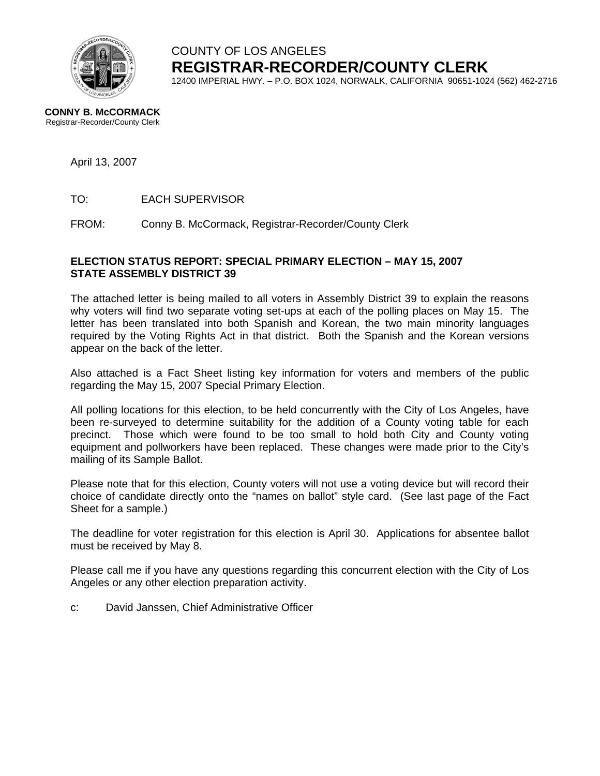

# COUNTY OF LOS ANGELES **REGISTRAR-RECORDER/COUNTY CLERK**

12400 IMPERIAL HWY. – P.O. BOX 1024, NORWALK, CALIFORNIA 90651-1024 (562) 462-2716

#### **CONNY B. McCORMACK** Registrar-Recorder/County Clerk

### April 13, 2007

TO: EACH SUPERVISOR

FROM: Conny B. McCormack, Registrar-Recorder/County Clerk

#### **ELECTION STATUS REPORT: SPECIAL PRIMARY ELECTION – MAY 15, 2007 STATE ASSEMBLY DISTRICT 39**

The attached letter is being mailed to all voters in Assembly District 39 to explain the reasons why voters will find two separate voting set-ups at each of the polling places on May 15. The letter has been translated into both Spanish and Korean, the two main minority languages required by the Voting Rights Act in that district. Both the Spanish and the Korean versions appear on the back of the letter.

Also attached is a Fact Sheet listing key information for voters and members of the public regarding the May 15, 2007 Special Primary Election.

All polling locations for this election, to be held concurrently with the City of Los Angeles, have been re-surveyed to determine suitability for the addition of a County voting table for each precinct. Those which were found to be too small to hold both City and County voting equipment and pollworkers have been replaced. These changes were made prior to the City's mailing of its Sample Ballot.

Please note that for this election, County voters will not use a voting device but will record their choice of candidate directly onto the "names on ballot" style card. (See last page of the Fact Sheet for a sample.)

The deadline for voter registration for this election is April 30. Applications for absentee ballot must be received by May 8.

Please call me if you have any questions regarding this concurrent election with the City of Los Angeles or any other election preparation activity.

c: David Janssen, Chief Administrative Officer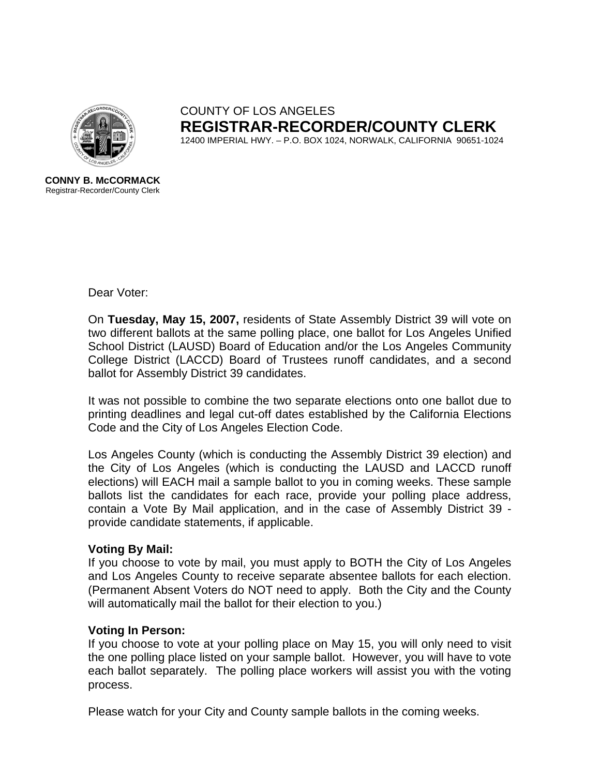

COUNTY OF LOS ANGELES **REGISTRAR-RECORDER/COUNTY CLERK** 12400 IMPERIAL HWY. – P.O. BOX 1024, NORWALK, CALIFORNIA 90651-1024

**CONNY B. McCORMACK** Registrar-Recorder/County Clerk

Dear Voter:

On **Tuesday, May 15, 2007,** residents of State Assembly District 39 will vote on two different ballots at the same polling place, one ballot for Los Angeles Unified School District (LAUSD) Board of Education and/or the Los Angeles Community College District (LACCD) Board of Trustees runoff candidates, and a second ballot for Assembly District 39 candidates.

It was not possible to combine the two separate elections onto one ballot due to printing deadlines and legal cut-off dates established by the California Elections Code and the City of Los Angeles Election Code.

Los Angeles County (which is conducting the Assembly District 39 election) and the City of Los Angeles (which is conducting the LAUSD and LACCD runoff elections) will EACH mail a sample ballot to you in coming weeks. These sample ballots list the candidates for each race, provide your polling place address, contain a Vote By Mail application, and in the case of Assembly District 39 provide candidate statements, if applicable.

## **Voting By Mail:**

If you choose to vote by mail, you must apply to BOTH the City of Los Angeles and Los Angeles County to receive separate absentee ballots for each election. (Permanent Absent Voters do NOT need to apply. Both the City and the County will automatically mail the ballot for their election to you.)

## **Voting In Person:**

If you choose to vote at your polling place on May 15, you will only need to visit the one polling place listed on your sample ballot. However, you will have to vote each ballot separately. The polling place workers will assist you with the voting process.

Please watch for your City and County sample ballots in the coming weeks.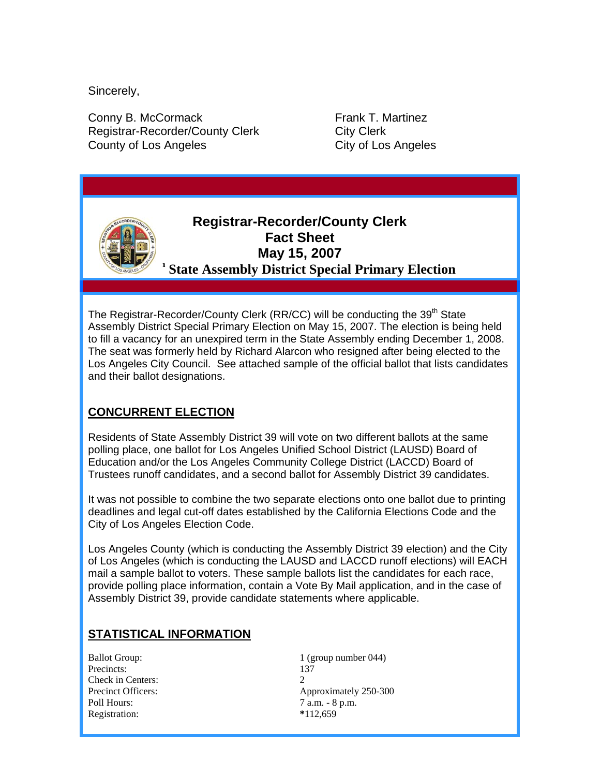Sincerely,

Conny B. McCormack Frank T. Martinez Registrar-Recorder/County Clerk City Clerk County of Los Angeles County of Los Angeles

# **Registrar-Recorder/County Clerk Fact Sheet May 15, 2007 State Assembly District Special Primary Election**

The Registrar-Recorder/County Clerk (RR/CC) will be conducting the 39<sup>th</sup> State Assembly District Special Primary Election on May 15, 2007. The election is being held to fill a vacancy for an unexpired term in the State Assembly ending December 1, 2008. The seat was formerly held by Richard Alarcon who resigned after being elected to the Los Angeles City Council. See attached sample of the official ballot that lists candidates and their ballot designations.

## **CONCURRENT ELECTION**

Residents of State Assembly District 39 will vote on two different ballots at the same polling place, one ballot for Los Angeles Unified School District (LAUSD) Board of Education and/or the Los Angeles Community College District (LACCD) Board of Trustees runoff candidates, and a second ballot for Assembly District 39 candidates.

It was not possible to combine the two separate elections onto one ballot due to printing deadlines and legal cut-off dates established by the California Elections Code and the City of Los Angeles Election Code.

Los Angeles County (which is conducting the Assembly District 39 election) and the City of Los Angeles (which is conducting the LAUSD and LACCD runoff elections) will EACH mail a sample ballot to voters. These sample ballots list the candidates for each race, provide polling place information, contain a Vote By Mail application, and in the case of Assembly District 39, provide candidate statements where applicable.

## **STATISTICAL INFORMATION**

Precincts: 137 Check in Centers: 2 Poll Hours:  $7 \text{ a.m. - } 8 \text{ p.m.}$ Registration: **\***112,659

Ballot Group:  $1$  (group number 044) Precinct Officers: Approximately 250-300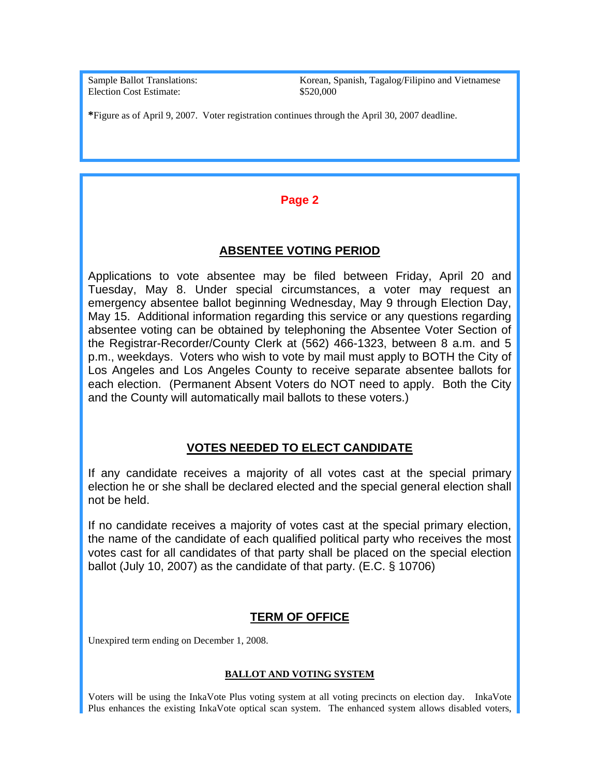Election Cost Estimate:  $$520,000$ 

Sample Ballot Translations: Korean, Spanish, Tagalog/Filipino and Vietnamese

**\***Figure as of April 9, 2007. Voter registration continues through the April 30, 2007 deadline.

## **Page 2**

#### **ABSENTEE VOTING PERIOD**

Applications to vote absentee may be filed between Friday, April 20 and Tuesday, May 8. Under special circumstances, a voter may request an emergency absentee ballot beginning Wednesday, May 9 through Election Day, May 15. Additional information regarding this service or any questions regarding absentee voting can be obtained by telephoning the Absentee Voter Section of the Registrar-Recorder/County Clerk at (562) 466-1323, between 8 a.m. and 5 p.m., weekdays. Voters who wish to vote by mail must apply to BOTH the City of Los Angeles and Los Angeles County to receive separate absentee ballots for each election. (Permanent Absent Voters do NOT need to apply. Both the City and the County will automatically mail ballots to these voters.)

## **VOTES NEEDED TO ELECT CANDIDATE**

If any candidate receives a majority of all votes cast at the special primary election he or she shall be declared elected and the special general election shall not be held.

If no candidate receives a majority of votes cast at the special primary election, the name of the candidate of each qualified political party who receives the most votes cast for all candidates of that party shall be placed on the special election ballot (July 10, 2007) as the candidate of that party. (E.C. § 10706)

## **TERM OF OFFICE**

Unexpired term ending on December 1, 2008.

#### **BALLOT AND VOTING SYSTEM**

Voters will be using the InkaVote Plus voting system at all voting precincts on election day. InkaVote Plus enhances the existing InkaVote optical scan system. The enhanced system allows disabled voters,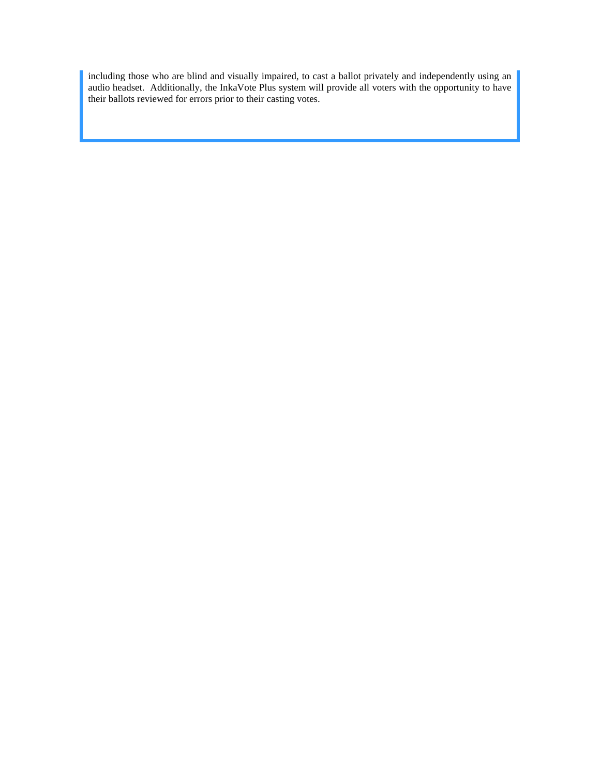including those who are blind and visually impaired, to cast a ballot privately and independently using an audio headset. Additionally, the InkaVote Plus system will provide all voters with the opportunity to have their ballots reviewed for errors prior to their casting votes.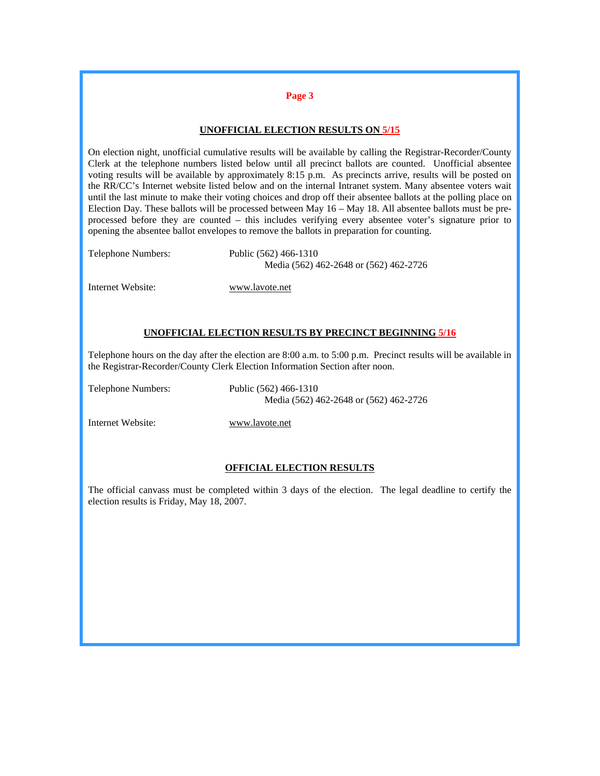#### **Page 3**

#### **UNOFFICIAL ELECTION RESULTS ON 5/15**

On election night, unofficial cumulative results will be available by calling the Registrar-Recorder/County Clerk at the telephone numbers listed below until all precinct ballots are counted. Unofficial absentee voting results will be available by approximately 8:15 p.m. As precincts arrive, results will be posted on the RR/CC's Internet website listed below and on the internal Intranet system. Many absentee voters wait until the last minute to make their voting choices and drop off their absentee ballots at the polling place on Election Day. These ballots will be processed between May 16 – May 18. All absentee ballots must be preprocessed before they are counted – this includes verifying every absentee voter's signature prior to opening the absentee ballot envelopes to remove the ballots in preparation for counting.

Telephone Numbers: Public (562) 466-1310

Media (562) 462-2648 or (562) 462-2726

Internet Website: [www.lavote.net](http://www.lavote.net/)

#### **UNOFFICIAL ELECTION RESULTS BY PRECINCT BEGINNING 5/16**

Telephone hours on the day after the election are 8:00 a.m. to 5:00 p.m. Precinct results will be available in the Registrar-Recorder/County Clerk Election Information Section after noon.

Telephone Numbers: Public (562) 466-1310 Media (562) 462-2648 or (562) 462-2726

Internet Website: [www.lavote.net](http://www.lavote.net/)

#### **OFFICIAL ELECTION RESULTS**

The official canvass must be completed within 3 days of the election. The legal deadline to certify the election results is Friday, May 18, 2007.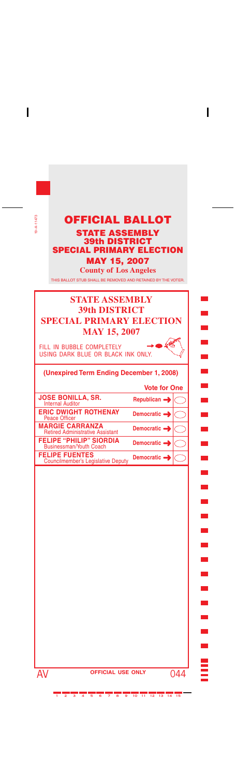| $9 - A - 11473$<br><b>OFFICIAL BALLOT</b><br><b>STATE ASSEMBLY</b><br><b>39th DISTRICT</b><br><b>SPECIAL PRIMARY ELECTION</b><br><b>MAY 15, 2007</b><br><b>County of Los Angeles</b><br>THIS BALLOT STUB SHALL BE REMOVED AND RETAINED BY THE VOTER.<br><b>STATE ASSEMBLY</b> |                                 |
|-------------------------------------------------------------------------------------------------------------------------------------------------------------------------------------------------------------------------------------------------------------------------------|---------------------------------|
|                                                                                                                                                                                                                                                                               |                                 |
| <b>MAY 15, 2007</b>                                                                                                                                                                                                                                                           |                                 |
| FILL IN BUBBLE COMPLETELY<br>USING DARK BLUE OR BLACK INK ONLY.                                                                                                                                                                                                               |                                 |
| (Unexpired Term Ending December 1, 2008)                                                                                                                                                                                                                                      |                                 |
|                                                                                                                                                                                                                                                                               | <b>Vote for One</b>             |
| <b>JOSE BONILLA, SR.</b><br><b>Internal Auditor</b>                                                                                                                                                                                                                           | Republican -                    |
| <b>ERIC DWIGHT ROTHENAY</b><br><b>Peace Officer</b>                                                                                                                                                                                                                           | Democratic $\rightarrow$        |
| <b>MARGIE CARRANZA</b><br><b>Retired Administrative Assistant</b>                                                                                                                                                                                                             | Democratic -                    |
| <b>FELIPE "PHILIP" SIORDIA</b><br><b>Businessman/Youth Coach</b>                                                                                                                                                                                                              | Democratic =                    |
| <b>FELIPE FUENTES</b><br><b>Councilmember's Legislative Deputy</b>                                                                                                                                                                                                            | Democratic $\rightarrow$        |
|                                                                                                                                                                                                                                                                               |                                 |
| AV                                                                                                                                                                                                                                                                            | <b>OFFICIAL USE ONLY</b><br>044 |

 $\mathbf{I}$ 

------------------------------

 $\mathbf{I}$